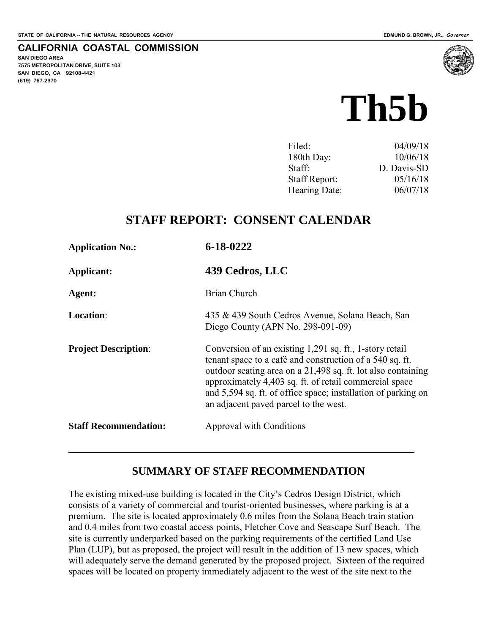**SAN DIEGO AREA** 

**(619) 767-2370**

**7575 METROPOLITAN DRIVE, SUITE 103 SAN DIEGO, CA 92108-4421**

 $\overline{a}$ 

**CALIFORNIA COASTAL COMMISSION** 

# **Th5b**

| Filed:               | 04/09/18    |
|----------------------|-------------|
| 180th Day:           | 10/06/18    |
| Staff:               | D. Davis-SD |
| <b>Staff Report:</b> | 05/16/18    |
| Hearing Date:        | 06/07/18    |
|                      |             |

# **STAFF REPORT: CONSENT CALENDAR**

| <b>Application No.:</b>      | 6-18-0222                                                                                                                                                                                                                                                                                                                                               |
|------------------------------|---------------------------------------------------------------------------------------------------------------------------------------------------------------------------------------------------------------------------------------------------------------------------------------------------------------------------------------------------------|
| Applicant:                   | 439 Cedros, LLC                                                                                                                                                                                                                                                                                                                                         |
| Agent:                       | Brian Church                                                                                                                                                                                                                                                                                                                                            |
| Location:                    | 435 & 439 South Cedros Avenue, Solana Beach, San<br>Diego County (APN No. 298-091-09)                                                                                                                                                                                                                                                                   |
| <b>Project Description:</b>  | Conversion of an existing 1,291 sq. ft., 1-story retail<br>tenant space to a café and construction of a 540 sq. ft.<br>outdoor seating area on a 21,498 sq. ft. lot also containing<br>approximately 4,403 sq. ft. of retail commercial space<br>and 5,594 sq. ft. of office space; installation of parking on<br>an adjacent payed parcel to the west. |
| <b>Staff Recommendation:</b> | Approval with Conditions                                                                                                                                                                                                                                                                                                                                |

# **SUMMARY OF STAFF RECOMMENDATION**

The existing mixed-use building is located in the City's Cedros Design District, which consists of a variety of commercial and tourist-oriented businesses, where parking is at a premium. The site is located approximately 0.6 miles from the Solana Beach train station and 0.4 miles from two coastal access points, Fletcher Cove and Seascape Surf Beach. The site is currently underparked based on the parking requirements of the certified Land Use Plan (LUP), but as proposed, the project will result in the addition of 13 new spaces, which will adequately serve the demand generated by the proposed project. Sixteen of the required spaces will be located on property immediately adjacent to the west of the site next to the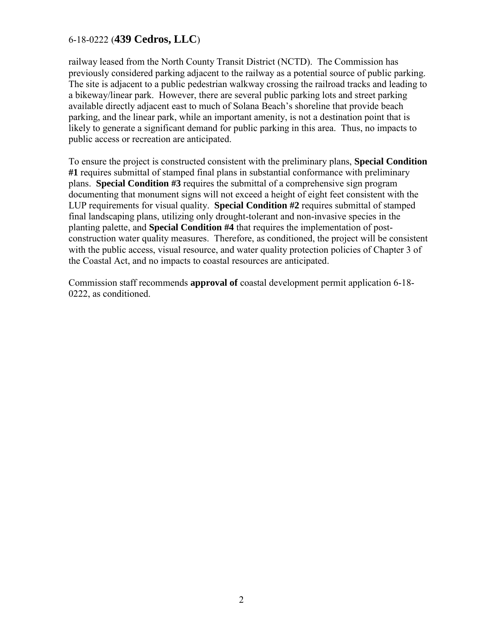railway leased from the North County Transit District (NCTD). The Commission has previously considered parking adjacent to the railway as a potential source of public parking. The site is adjacent to a public pedestrian walkway crossing the railroad tracks and leading to a bikeway/linear park. However, there are several public parking lots and street parking available directly adjacent east to much of Solana Beach's shoreline that provide beach parking, and the linear park, while an important amenity, is not a destination point that is likely to generate a significant demand for public parking in this area. Thus, no impacts to public access or recreation are anticipated.

To ensure the project is constructed consistent with the preliminary plans, **Special Condition #1** requires submittal of stamped final plans in substantial conformance with preliminary plans. **Special Condition #3** requires the submittal of a comprehensive sign program documenting that monument signs will not exceed a height of eight feet consistent with the LUP requirements for visual quality. **Special Condition #2** requires submittal of stamped final landscaping plans, utilizing only drought-tolerant and non-invasive species in the planting palette, and **Special Condition #4** that requires the implementation of postconstruction water quality measures. Therefore, as conditioned, the project will be consistent with the public access, visual resource, and water quality protection policies of Chapter 3 of the Coastal Act, and no impacts to coastal resources are anticipated.

Commission staff recommends **approval of** coastal development permit application 6-18- 0222, as conditioned.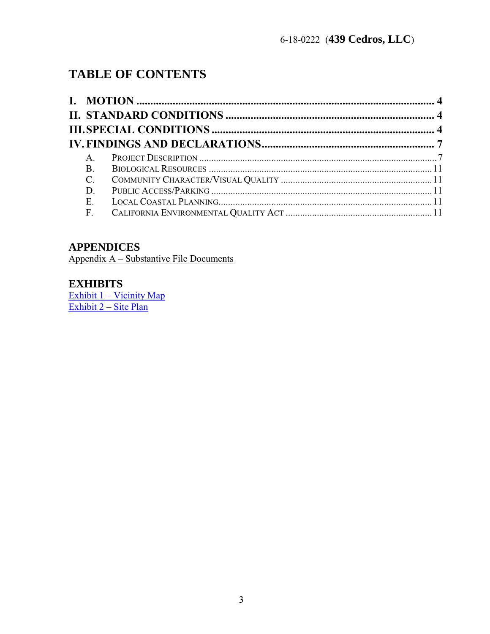# **TABLE OF CONTENTS**

| $\mathsf{A}$    |  |
|-----------------|--|
| <sub>B</sub>    |  |
| $\mathcal{C}$ . |  |
| D               |  |
| Е.              |  |
| F.              |  |

# **APPENDICES**

Appendix A – Substantive File Documents

# **EXHIBITS**

 $\frac{Exhibit 1 - Vicinity Map}{Exhibit 2 - Site Plan}$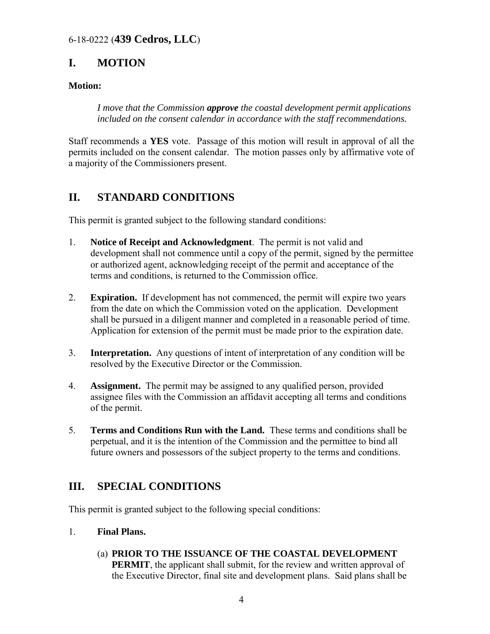# <span id="page-3-0"></span>**I. MOTION**

#### **Motion:**

*I move that the Commission approve the coastal development permit applications included on the consent calendar in accordance with the staff recommendations.* 

Staff recommends a **YES** vote. Passage of this motion will result in approval of all the permits included on the consent calendar. The motion passes only by affirmative vote of a majority of the Commissioners present.

# <span id="page-3-1"></span>**II. STANDARD CONDITIONS**

This permit is granted subject to the following standard conditions:

- 1. **Notice of Receipt and Acknowledgment**. The permit is not valid and development shall not commence until a copy of the permit, signed by the permittee or authorized agent, acknowledging receipt of the permit and acceptance of the terms and conditions, is returned to the Commission office.
- 2. **Expiration.** If development has not commenced, the permit will expire two years from the date on which the Commission voted on the application. Development shall be pursued in a diligent manner and completed in a reasonable period of time. Application for extension of the permit must be made prior to the expiration date.
- 3. **Interpretation.** Any questions of intent of interpretation of any condition will be resolved by the Executive Director or the Commission.
- 4. **Assignment.** The permit may be assigned to any qualified person, provided assignee files with the Commission an affidavit accepting all terms and conditions of the permit.
- 5. **Terms and Conditions Run with the Land.** These terms and conditions shall be perpetual, and it is the intention of the Commission and the permittee to bind all future owners and possessors of the subject property to the terms and conditions.

# <span id="page-3-2"></span>**III. SPECIAL CONDITIONS**

This permit is granted subject to the following special conditions:

- 1. **Final Plans.** 
	- (a) **PRIOR TO THE ISSUANCE OF THE COASTAL DEVELOPMENT PERMIT**, the applicant shall submit, for the review and written approval of the Executive Director, final site and development plans. Said plans shall be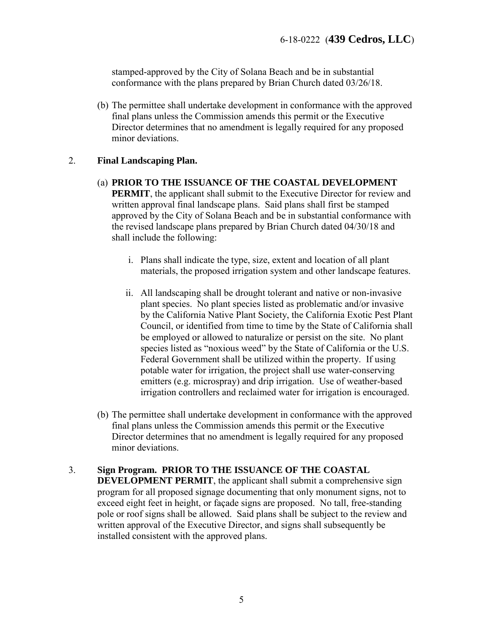stamped-approved by the City of Solana Beach and be in substantial conformance with the plans prepared by Brian Church dated 03/26/18.

(b) The permittee shall undertake development in conformance with the approved final plans unless the Commission amends this permit or the Executive Director determines that no amendment is legally required for any proposed minor deviations.

#### 2. **Final Landscaping Plan.**

- (a) **PRIOR TO THE ISSUANCE OF THE COASTAL DEVELOPMENT PERMIT**, the applicant shall submit to the Executive Director for review and written approval final landscape plans. Said plans shall first be stamped approved by the City of Solana Beach and be in substantial conformance with the revised landscape plans prepared by Brian Church dated 04/30/18 and shall include the following:
	- i. Plans shall indicate the type, size, extent and location of all plant materials, the proposed irrigation system and other landscape features.
	- ii. All landscaping shall be drought tolerant and native or non-invasive plant species. No plant species listed as problematic and/or invasive by the California Native Plant Society, the California Exotic Pest Plant Council, or identified from time to time by the State of California shall be employed or allowed to naturalize or persist on the site. No plant species listed as "noxious weed" by the State of California or the U.S. Federal Government shall be utilized within the property. If using potable water for irrigation, the project shall use water-conserving emitters (e.g. microspray) and drip irrigation. Use of weather-based irrigation controllers and reclaimed water for irrigation is encouraged.
- (b) The permittee shall undertake development in conformance with the approved final plans unless the Commission amends this permit or the Executive Director determines that no amendment is legally required for any proposed minor deviations.
- 3. **Sign Program. PRIOR TO THE ISSUANCE OF THE COASTAL DEVELOPMENT PERMIT**, the applicant shall submit a comprehensive sign program for all proposed signage documenting that only monument signs, not to exceed eight feet in height, or façade signs are proposed. No tall, free-standing pole or roof signs shall be allowed. Said plans shall be subject to the review and written approval of the Executive Director, and signs shall subsequently be installed consistent with the approved plans.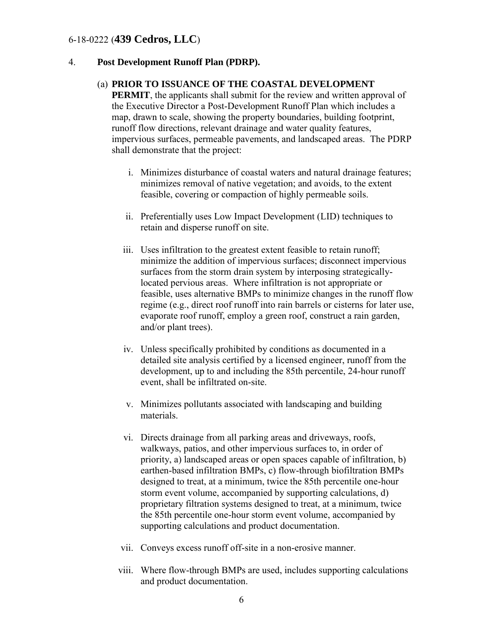#### 4. **Post Development Runoff Plan (PDRP).**

#### (a) **PRIOR TO ISSUANCE OF THE COASTAL DEVELOPMENT**

**PERMIT**, the applicants shall submit for the review and written approval of the Executive Director a Post-Development Runoff Plan which includes a map, drawn to scale, showing the property boundaries, building footprint, runoff flow directions, relevant drainage and water quality features, impervious surfaces, permeable pavements, and landscaped areas. The PDRP shall demonstrate that the project:

- i. Minimizes disturbance of coastal waters and natural drainage features; minimizes removal of native vegetation; and avoids, to the extent feasible, covering or compaction of highly permeable soils.
- ii. Preferentially uses Low Impact Development (LID) techniques to retain and disperse runoff on site.
- iii. Uses infiltration to the greatest extent feasible to retain runoff; minimize the addition of impervious surfaces; disconnect impervious surfaces from the storm drain system by interposing strategicallylocated pervious areas. Where infiltration is not appropriate or feasible, uses alternative BMPs to minimize changes in the runoff flow regime (e.g., direct roof runoff into rain barrels or cisterns for later use, evaporate roof runoff, employ a green roof, construct a rain garden, and/or plant trees).
- iv. Unless specifically prohibited by conditions as documented in a detailed site analysis certified by a licensed engineer, runoff from the development, up to and including the 85th percentile, 24-hour runoff event, shall be infiltrated on-site.
- v. Minimizes pollutants associated with landscaping and building materials.
- vi. Directs drainage from all parking areas and driveways, roofs, walkways, patios, and other impervious surfaces to, in order of priority, a) landscaped areas or open spaces capable of infiltration, b) earthen-based infiltration BMPs, c) flow-through biofiltration BMPs designed to treat, at a minimum, twice the 85th percentile one-hour storm event volume, accompanied by supporting calculations, d) proprietary filtration systems designed to treat, at a minimum, twice the 85th percentile one-hour storm event volume, accompanied by supporting calculations and product documentation.
- vii. Conveys excess runoff off-site in a non-erosive manner.
- viii. Where flow-through BMPs are used, includes supporting calculations and product documentation.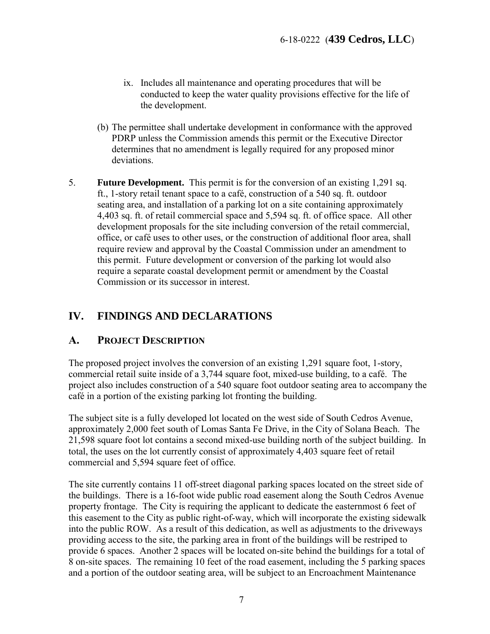- ix. Includes all maintenance and operating procedures that will be conducted to keep the water quality provisions effective for the life of the development.
- (b) The permittee shall undertake development in conformance with the approved PDRP unless the Commission amends this permit or the Executive Director determines that no amendment is legally required for any proposed minor deviations.
- 5. **Future Development.** This permit is for the conversion of an existing 1,291 sq. ft., 1-story retail tenant space to a café, construction of a 540 sq. ft. outdoor seating area, and installation of a parking lot on a site containing approximately 4,403 sq. ft. of retail commercial space and 5,594 sq. ft. of office space. All other development proposals for the site including conversion of the retail commercial, office, or café uses to other uses, or the construction of additional floor area, shall require review and approval by the Coastal Commission under an amendment to this permit. Future development or conversion of the parking lot would also require a separate coastal development permit or amendment by the Coastal Commission or its successor in interest.

# <span id="page-6-0"></span>**IV. FINDINGS AND DECLARATIONS**

#### <span id="page-6-1"></span>**A. PROJECT DESCRIPTION**

The proposed project involves the conversion of an existing 1,291 square foot, 1-story, commercial retail suite inside of a 3,744 square foot, mixed-use building, to a café. The project also includes construction of a 540 square foot outdoor seating area to accompany the café in a portion of the existing parking lot fronting the building.

The subject site is a fully developed lot located on the west side of South Cedros Avenue, approximately 2,000 feet south of Lomas Santa Fe Drive, in the City of Solana Beach. The 21,598 square foot lot contains a second mixed-use building north of the subject building. In total, the uses on the lot currently consist of approximately 4,403 square feet of retail commercial and 5,594 square feet of office.

The site currently contains 11 off-street diagonal parking spaces located on the street side of the buildings. There is a 16-foot wide public road easement along the South Cedros Avenue property frontage. The City is requiring the applicant to dedicate the easternmost 6 feet of this easement to the City as public right-of-way, which will incorporate the existing sidewalk into the public ROW. As a result of this dedication, as well as adjustments to the driveways providing access to the site, the parking area in front of the buildings will be restriped to provide 6 spaces. Another 2 spaces will be located on-site behind the buildings for a total of 8 on-site spaces. The remaining 10 feet of the road easement, including the 5 parking spaces and a portion of the outdoor seating area, will be subject to an Encroachment Maintenance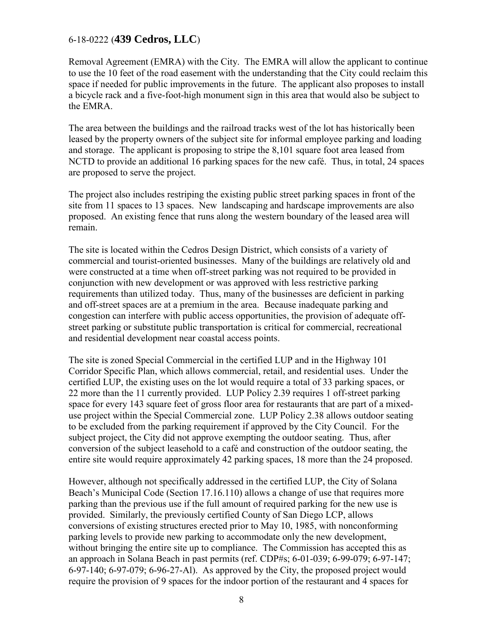Removal Agreement (EMRA) with the City. The EMRA will allow the applicant to continue to use the 10 feet of the road easement with the understanding that the City could reclaim this space if needed for public improvements in the future. The applicant also proposes to install a bicycle rack and a five-foot-high monument sign in this area that would also be subject to the EMRA.

The area between the buildings and the railroad tracks west of the lot has historically been leased by the property owners of the subject site for informal employee parking and loading and storage. The applicant is proposing to stripe the 8,101 square foot area leased from NCTD to provide an additional 16 parking spaces for the new café. Thus, in total, 24 spaces are proposed to serve the project.

The project also includes restriping the existing public street parking spaces in front of the site from 11 spaces to 13 spaces. New landscaping and hardscape improvements are also proposed. An existing fence that runs along the western boundary of the leased area will remain.

The site is located within the Cedros Design District, which consists of a variety of commercial and tourist-oriented businesses. Many of the buildings are relatively old and were constructed at a time when off-street parking was not required to be provided in conjunction with new development or was approved with less restrictive parking requirements than utilized today. Thus, many of the businesses are deficient in parking and off-street spaces are at a premium in the area. Because inadequate parking and congestion can interfere with public access opportunities, the provision of adequate offstreet parking or substitute public transportation is critical for commercial, recreational and residential development near coastal access points.

The site is zoned Special Commercial in the certified LUP and in the Highway 101 Corridor Specific Plan, which allows commercial, retail, and residential uses. Under the certified LUP, the existing uses on the lot would require a total of 33 parking spaces, or 22 more than the 11 currently provided. LUP Policy 2.39 requires 1 off-street parking space for every 143 square feet of gross floor area for restaurants that are part of a mixeduse project within the Special Commercial zone. LUP Policy 2.38 allows outdoor seating to be excluded from the parking requirement if approved by the City Council. For the subject project, the City did not approve exempting the outdoor seating. Thus, after conversion of the subject leasehold to a café and construction of the outdoor seating, the entire site would require approximately 42 parking spaces, 18 more than the 24 proposed.

However, although not specifically addressed in the certified LUP, the City of Solana Beach's Municipal Code (Section 17.16.110) allows a change of use that requires more parking than the previous use if the full amount of required parking for the new use is provided. Similarly, the previously certified County of San Diego LCP, allows conversions of existing structures erected prior to May 10, 1985, with nonconforming parking levels to provide new parking to accommodate only the new development, without bringing the entire site up to compliance. The Commission has accepted this as an approach in Solana Beach in past permits (ref. CDP#s; 6-01-039; 6-99-079; 6-97-147; 6-97-140; 6-97-079; 6-96-27-Al). As approved by the City, the proposed project would require the provision of 9 spaces for the indoor portion of the restaurant and 4 spaces for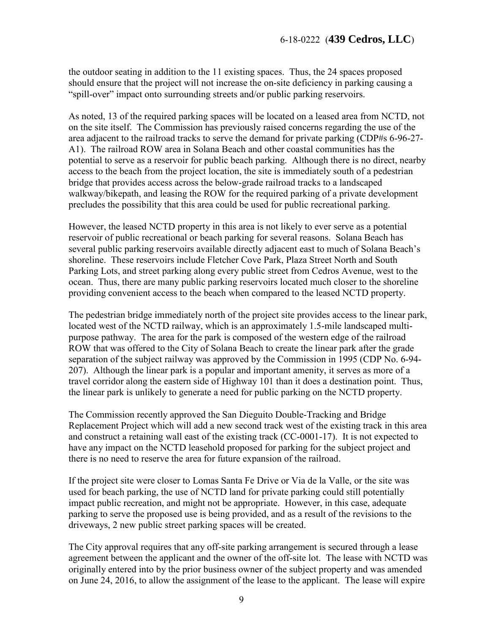the outdoor seating in addition to the 11 existing spaces. Thus, the 24 spaces proposed should ensure that the project will not increase the on-site deficiency in parking causing a "spill-over" impact onto surrounding streets and/or public parking reservoirs.

As noted, 13 of the required parking spaces will be located on a leased area from NCTD, not on the site itself. The Commission has previously raised concerns regarding the use of the area adjacent to the railroad tracks to serve the demand for private parking (CDP#s 6-96-27- A1). The railroad ROW area in Solana Beach and other coastal communities has the potential to serve as a reservoir for public beach parking. Although there is no direct, nearby access to the beach from the project location, the site is immediately south of a pedestrian bridge that provides access across the below-grade railroad tracks to a landscaped walkway/bikepath, and leasing the ROW for the required parking of a private development precludes the possibility that this area could be used for public recreational parking.

However, the leased NCTD property in this area is not likely to ever serve as a potential reservoir of public recreational or beach parking for several reasons. Solana Beach has several public parking reservoirs available directly adjacent east to much of Solana Beach's shoreline. These reservoirs include Fletcher Cove Park, Plaza Street North and South Parking Lots, and street parking along every public street from Cedros Avenue, west to the ocean. Thus, there are many public parking reservoirs located much closer to the shoreline providing convenient access to the beach when compared to the leased NCTD property.

The pedestrian bridge immediately north of the project site provides access to the linear park, located west of the NCTD railway, which is an approximately 1.5-mile landscaped multipurpose pathway. The area for the park is composed of the western edge of the railroad ROW that was offered to the City of Solana Beach to create the linear park after the grade separation of the subject railway was approved by the Commission in 1995 (CDP No. 6-94- 207). Although the linear park is a popular and important amenity, it serves as more of a travel corridor along the eastern side of Highway 101 than it does a destination point. Thus, the linear park is unlikely to generate a need for public parking on the NCTD property.

The Commission recently approved the San Dieguito Double-Tracking and Bridge Replacement Project which will add a new second track west of the existing track in this area and construct a retaining wall east of the existing track (CC-0001-17). It is not expected to have any impact on the NCTD leasehold proposed for parking for the subject project and there is no need to reserve the area for future expansion of the railroad.

If the project site were closer to Lomas Santa Fe Drive or Via de la Valle, or the site was used for beach parking, the use of NCTD land for private parking could still potentially impact public recreation, and might not be appropriate. However, in this case, adequate parking to serve the proposed use is being provided, and as a result of the revisions to the driveways, 2 new public street parking spaces will be created.

The City approval requires that any off-site parking arrangement is secured through a lease agreement between the applicant and the owner of the off-site lot. The lease with NCTD was originally entered into by the prior business owner of the subject property and was amended on June 24, 2016, to allow the assignment of the lease to the applicant. The lease will expire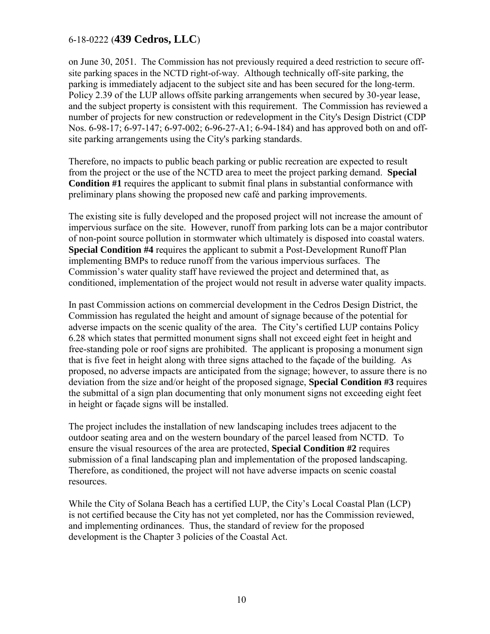on June 30, 2051. The Commission has not previously required a deed restriction to secure offsite parking spaces in the NCTD right-of-way. Although technically off-site parking, the parking is immediately adjacent to the subject site and has been secured for the long-term. Policy 2.39 of the LUP allows offsite parking arrangements when secured by 30-year lease, and the subject property is consistent with this requirement. The Commission has reviewed a number of projects for new construction or redevelopment in the City's Design District (CDP Nos. 6-98-17; 6-97-147; 6-97-002; 6-96-27-A1; 6-94-184) and has approved both on and offsite parking arrangements using the City's parking standards.

Therefore, no impacts to public beach parking or public recreation are expected to result from the project or the use of the NCTD area to meet the project parking demand. **Special Condition #1** requires the applicant to submit final plans in substantial conformance with preliminary plans showing the proposed new café and parking improvements.

The existing site is fully developed and the proposed project will not increase the amount of impervious surface on the site. However, runoff from parking lots can be a major contributor of non-point source pollution in stormwater which ultimately is disposed into coastal waters. **Special Condition #4** requires the applicant to submit a Post-Development Runoff Plan implementing BMPs to reduce runoff from the various impervious surfaces. The Commission's water quality staff have reviewed the project and determined that, as conditioned, implementation of the project would not result in adverse water quality impacts.

In past Commission actions on commercial development in the Cedros Design District, the Commission has regulated the height and amount of signage because of the potential for adverse impacts on the scenic quality of the area. The City's certified LUP contains Policy 6.28 which states that permitted monument signs shall not exceed eight feet in height and free-standing pole or roof signs are prohibited. The applicant is proposing a monument sign that is five feet in height along with three signs attached to the façade of the building. As proposed, no adverse impacts are anticipated from the signage; however, to assure there is no deviation from the size and/or height of the proposed signage, **Special Condition #3** requires the submittal of a sign plan documenting that only monument signs not exceeding eight feet in height or façade signs will be installed.

The project includes the installation of new landscaping includes trees adjacent to the outdoor seating area and on the western boundary of the parcel leased from NCTD. To ensure the visual resources of the area are protected, **Special Condition #2** requires submission of a final landscaping plan and implementation of the proposed landscaping. Therefore, as conditioned, the project will not have adverse impacts on scenic coastal resources.

While the City of Solana Beach has a certified LUP, the City's Local Coastal Plan (LCP) is not certified because the City has not yet completed, nor has the Commission reviewed, and implementing ordinances. Thus, the standard of review for the proposed development is the Chapter 3 policies of the Coastal Act.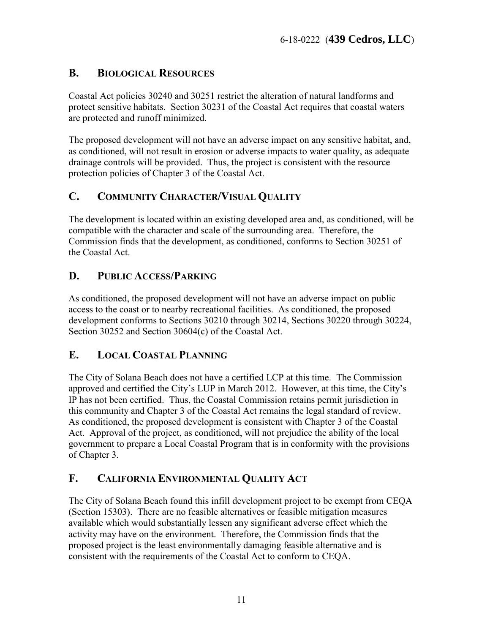# <span id="page-10-0"></span>**B. BIOLOGICAL RESOURCES**

Coastal Act policies 30240 and 30251 restrict the alteration of natural landforms and protect sensitive habitats. Section 30231 of the Coastal Act requires that coastal waters are protected and runoff minimized.

The proposed development will not have an adverse impact on any sensitive habitat, and, as conditioned, will not result in erosion or adverse impacts to water quality, as adequate drainage controls will be provided. Thus, the project is consistent with the resource protection policies of Chapter 3 of the Coastal Act.

# <span id="page-10-1"></span>**C. COMMUNITY CHARACTER/VISUAL QUALITY**

The development is located within an existing developed area and, as conditioned, will be compatible with the character and scale of the surrounding area. Therefore, the Commission finds that the development, as conditioned, conforms to Section 30251 of the Coastal Act.

# <span id="page-10-2"></span>**D. PUBLIC ACCESS/PARKING**

As conditioned, the proposed development will not have an adverse impact on public access to the coast or to nearby recreational facilities. As conditioned, the proposed development conforms to Sections 30210 through 30214, Sections 30220 through 30224, Section 30252 and Section 30604(c) of the Coastal Act.

# <span id="page-10-3"></span>**E. LOCAL COASTAL PLANNING**

The City of Solana Beach does not have a certified LCP at this time. The Commission approved and certified the City's LUP in March 2012. However, at this time, the City's IP has not been certified. Thus, the Coastal Commission retains permit jurisdiction in this community and Chapter 3 of the Coastal Act remains the legal standard of review. As conditioned, the proposed development is consistent with Chapter 3 of the Coastal Act. Approval of the project, as conditioned, will not prejudice the ability of the local government to prepare a Local Coastal Program that is in conformity with the provisions of Chapter 3.

# <span id="page-10-4"></span>**F. CALIFORNIA ENVIRONMENTAL QUALITY ACT**

The City of Solana Beach found this infill development project to be exempt from CEQA (Section 15303). There are no feasible alternatives or feasible mitigation measures available which would substantially lessen any significant adverse effect which the activity may have on the environment. Therefore, the Commission finds that the proposed project is the least environmentally damaging feasible alternative and is consistent with the requirements of the Coastal Act to conform to CEQA.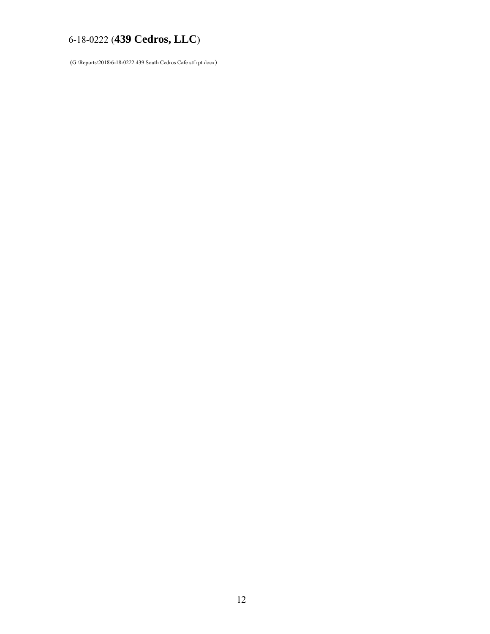(G:\Reports\2018\6-18-0222 439 South Cedros Cafe stf rpt.docx)